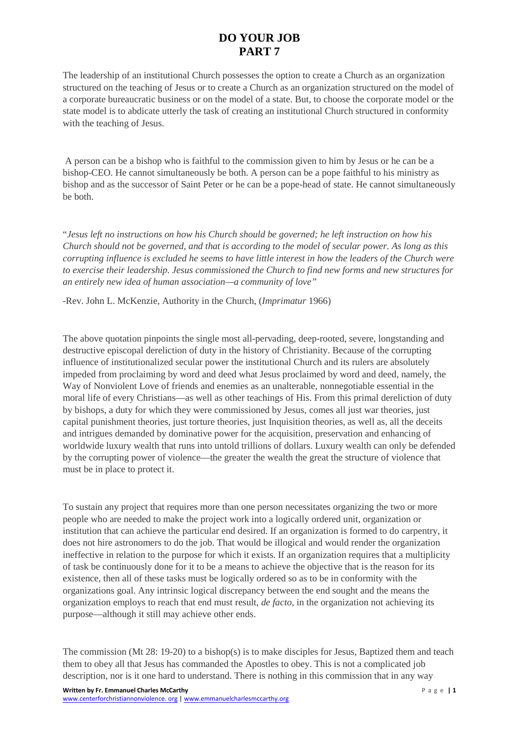## **DO YOUR JOB PART 7**

The leadership of an institutional Church possesses the option to create a Church as an organization structured on the teaching of Jesus or to create a Church as an organization structured on the model of a corporate bureaucratic business or on the model of a state. But, to choose the corporate model or the state model is to abdicate utterly the task of creating an institutional Church structured in conformity with the teaching of Jesus.

A person can be a bishop who is faithful to the commission given to him by Jesus or he can be a bishop-CEO. He cannot simultaneously be both. A person can be a pope faithful to his ministry as bishop and as the successor of Saint Peter or he can be a pope-head of state. He cannot simultaneously be both.

"*Jesus left no instructions on how his Church should be governed; he left instruction on how his Church should not be governed, and that is according to the model of secular power. As long as this corrupting influence is excluded he seems to have little interest in how the leaders of the Church were to exercise their leadership. Jesus commissioned the Church to find new forms and new structures for an entirely new idea of human association—a community of love"*

-Rev. John L. McKenzie, Authority in the Church, (*Imprimatur* 1966)

The above quotation pinpoints the single most all-pervading, deep-rooted, severe, longstanding and destructive episcopal dereliction of duty in the history of Christianity. Because of the corrupting influence of institutionalized secular power the institutional Church and its rulers are absolutely impeded from proclaiming by word and deed what Jesus proclaimed by word and deed, namely, the Way of Nonviolent Love of friends and enemies as an unalterable, nonnegotiable essential in the moral life of every Christians—as well as other teachings of His. From this primal dereliction of duty by bishops, a duty for which they were commissioned by Jesus, comes all just war theories, just capital punishment theories, just torture theories, just Inquisition theories, as well as, all the deceits and intrigues demanded by dominative power for the acquisition, preservation and enhancing of worldwide luxury wealth that runs into untold trillions of dollars. Luxury wealth can only be defended by the corrupting power of violence—the greater the wealth the great the structure of violence that must be in place to protect it.

To sustain any project that requires more than one person necessitates organizing the two or more people who are needed to make the project work into a logically ordered unit, organization or institution that can achieve the particular end desired. If an organization is formed to do carpentry, it does not hire astronomers to do the job. That would be illogical and would render the organization ineffective in relation to the purpose for which it exists. If an organization requires that a multiplicity of task be continuously done for it to be a means to achieve the objective that is the reason for its existence, then all of these tasks must be logically ordered so as to be in conformity with the organizations goal. Any intrinsic logical discrepancy between the end sought and the means the organization employs to reach that end must result, *de facto*, in the organization not achieving its purpose—although it still may achieve other ends.

The commission (Mt 28: 19-20) to a bishop(s) is to make disciples for Jesus, Baptized them and teach them to obey all that Jesus has commanded the Apostles to obey. This is not a complicated job description, nor is it one hard to understand. There is nothing in this commission that in any way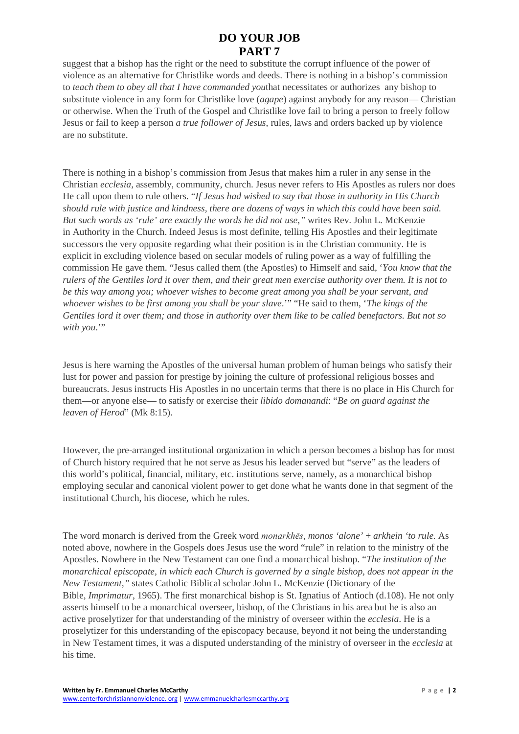## **DO YOUR JOB PART 7**

suggest that a bishop has the right or the need to substitute the corrupt influence of the power of violence as an alternative for Christlike words and deeds. There is nothing in a bishop's commission to *teach them to obey all that I have commanded you*that necessitates or authorizes any bishop to substitute violence in any form for Christlike love (*agape*) against anybody for any reason— Christian or otherwise. When the Truth of the Gospel and Christlike love fail to bring a person to freely follow Jesus or fail to keep a person *a true follower of Jesus*, rules, laws and orders backed up by violence are no substitute.

There is nothing in a bishop's commission from Jesus that makes him a ruler in any sense in the Christian *ecclesia*, assembly, community, church. Jesus never refers to His Apostles as rulers nor does He call upon them to rule others. "*If Jesus had wished to say that those in authority in His Church should rule with justice and kindness, there are dozens of ways in which this could have been said. But such words as 'rule' are exactly the words he did not use,"* writes Rev. John L. McKenzie in Authority in the Church. Indeed Jesus is most definite, telling His Apostles and their legitimate successors the very opposite regarding what their position is in the Christian community. He is explicit in excluding violence based on secular models of ruling power as a way of fulfilling the commission He gave them. "Jesus called them (the Apostles) to Himself and said, '*You know that the rulers of the Gentiles lord it over them, and their great men exercise authority over them. It is not to be this way among you; whoever wishes to become great among you shall be your servant, and whoever wishes to be first among you shall be your slave*.'" "He said to them, '*The kings of the Gentiles lord it over them; and those in authority over them like to be called benefactors. But not so*  with you."

Jesus is here warning the Apostles of the universal human problem of human beings who satisfy their lust for power and passion for prestige by joining the culture of professional religious bosses and bureaucrats. Jesus instructs His Apostles in no uncertain terms that there is no place in His Church for them—or anyone else— to satisfy or exercise their *libido domanandi*: "*Be on guard against the leaven of Herod*" (Mk 8:15).

However, the pre-arranged institutional organization in which a person becomes a bishop has for most of Church history required that he not serve as Jesus his leader served but "serve" as the leaders of this world's political, financial, military, etc. institutions serve, namely, as a monarchical bishop employing secular and canonical violent power to get done what he wants done in that segment of the institutional Church, his diocese, which he rules.

The word monarch is derived from the Greek word *monarkhēs*, *monos 'alone'* + *arkhein 'to rule.* As noted above, nowhere in the Gospels does Jesus use the word "rule" in relation to the ministry of the Apostles. Nowhere in the New Testament can one find a monarchical bishop. "*The institution of the monarchical episcopate, in which each Church is governed by a single bishop, does not appear in the New Testament,"* states Catholic Biblical scholar John L. McKenzie (Dictionary of the Bible, *Imprimatur*, 1965). The first monarchical bishop is St. Ignatius of Antioch (d.108). He not only asserts himself to be a monarchical overseer, bishop, of the Christians in his area but he is also an active proselytizer for that understanding of the ministry of overseer within the *ecclesia*. He is a proselytizer for this understanding of the episcopacy because, beyond it not being the understanding in New Testament times, it was a disputed understanding of the ministry of overseer in the *ecclesia* at his time.